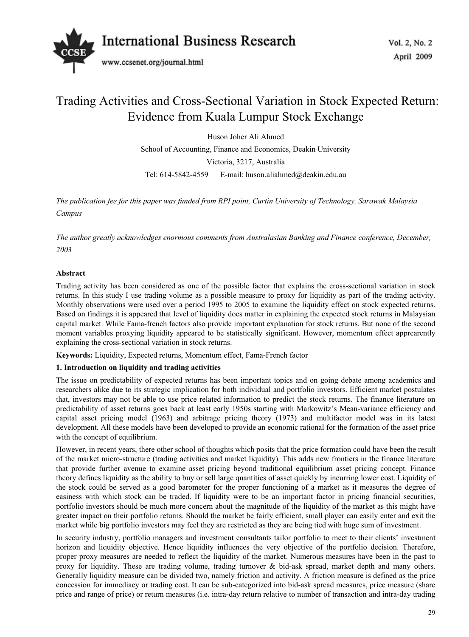

# Trading Activities and Cross-Sectional Variation in Stock Expected Return: Evidence from Kuala Lumpur Stock Exchange

Huson Joher Ali Ahmed School of Accounting, Finance and Economics, Deakin University Victoria, 3217, Australia Tel: 614-5842-4559 E-mail: huson.aliahmed@deakin.edu.au

*The publication fee for this paper was funded from RPI point, Curtin University of Technology, Sarawak Malaysia Campus* 

*The author greatly acknowledges enormous comments from Australasian Banking and Finance conference, December, 2003* 

# **Abstract**

Trading activity has been considered as one of the possible factor that explains the cross-sectional variation in stock returns. In this study I use trading volume as a possible measure to proxy for liquidity as part of the trading activity. Monthly observations were used over a period 1995 to 2005 to examine the liquidity effect on stock expected returns. Based on findings it is appeared that level of liquidity does matter in explaining the expected stock returns in Malaysian capital market. While Fama-french factors also provide important explanation for stock returns. But none of the second moment variables proxying liquidity appeared to be statistically significant. However, momentum effect apprearently explaining the cross-sectional variation in stock returns.

**Keywords:** Liquidity, Expected returns, Momentum effect, Fama-French factor

# **1. Introduction on liquidity and trading activities**

The issue on predictability of expected returns has been important topics and on going debate among academics and researchers alike due to its strategic implication for both individual and portfolio investors. Efficient market postulates that, investors may not be able to use price related information to predict the stock returns. The finance literature on predictability of asset returns goes back at least early 1950s starting with Markowitz's Mean-variance efficiency and capital asset pricing model (1963) and arbitrage pricing theory (1973) and multifactor model was in its latest development. All these models have been developed to provide an economic rational for the formation of the asset price with the concept of equilibrium.

However, in recent years, there other school of thoughts which posits that the price formation could have been the result of the market micro-structure (trading activities and market liquidity). This adds new frontiers in the finance literature that provide further avenue to examine asset pricing beyond traditional equilibrium asset pricing concept. Finance theory defines liquidity as the ability to buy or sell large quantities of asset quickly by incurring lower cost. Liquidity of the stock could be served as a good barometer for the proper functioning of a market as it measures the degree of easiness with which stock can be traded. If liquidity were to be an important factor in pricing financial securities, portfolio investors should be much more concern about the magnitude of the liquidity of the market as this might have greater impact on their portfolio returns. Should the market be fairly efficient, small player can easily enter and exit the market while big portfolio investors may feel they are restricted as they are being tied with huge sum of investment.

In security industry, portfolio managers and investment consultants tailor portfolio to meet to their clients' investment horizon and liquidity objective. Hence liquidity influences the very objective of the portfolio decision. Therefore, proper proxy measures are needed to reflect the liquidity of the market. Numerous measures have been in the past to proxy for liquidity. These are trading volume, trading turnover & bid-ask spread, market depth and many others. Generally liquidity measure can be divided two, namely friction and activity. A friction measure is defined as the price concession for immediacy or trading cost. It can be sub-categorized into bid-ask spread measures, price measure (share price and range of price) or return measures (i.e. intra-day return relative to number of transaction and intra-day trading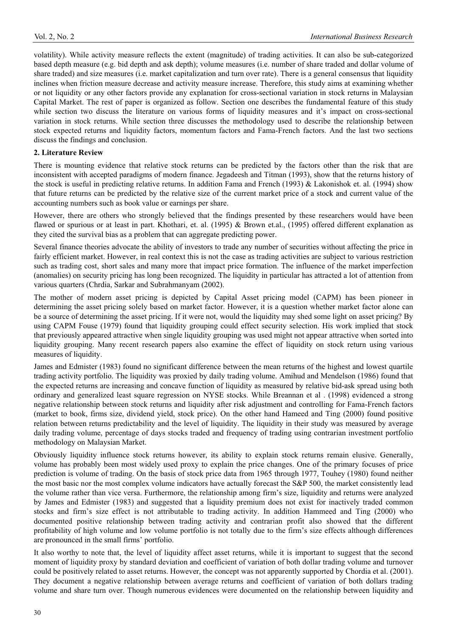volatility). While activity measure reflects the extent (magnitude) of trading activities. It can also be sub-categorized based depth measure (e.g. bid depth and ask depth); volume measures (i.e. number of share traded and dollar volume of share traded) and size measures (i.e. market capitalization and turn over rate). There is a general consensus that liquidity inclines when friction measure decrease and activity measure increase. Therefore, this study aims at examining whether or not liquidity or any other factors provide any explanation for cross-sectional variation in stock returns in Malaysian Capital Market. The rest of paper is organized as follow. Section one describes the fundamental feature of this study while section two discuss the literature on various forms of liquidity measures and it's impact on cross-sectional variation in stock returns. While section three discusses the methodology used to describe the relationship between stock expected returns and liquidity factors, momentum factors and Fama-French factors. And the last two sections discuss the findings and conclusion.

## **2. Literature Review**

There is mounting evidence that relative stock returns can be predicted by the factors other than the risk that are inconsistent with accepted paradigms of modern finance. Jegadeesh and Titman (1993), show that the returns history of the stock is useful in predicting relative returns. In addition Fama and French (1993) & Lakonishok et. al. (1994) show that future returns can be predicted by the relative size of the current market price of a stock and current value of the accounting numbers such as book value or earnings per share.

However, there are others who strongly believed that the findings presented by these researchers would have been flawed or spurious or at least in part. Khothari, et. al. (1995) & Brown et.al., (1995) offered different explanation as they cited the survival bias as a problem that can aggregate predicting power.

Several finance theories advocate the ability of investors to trade any number of securities without affecting the price in fairly efficient market. However, in real context this is not the case as trading activities are subject to various restriction such as trading cost, short sales and many more that impact price formation. The influence of the market imperfection (anomalies) on security pricing has long been recognized. The liquidity in particular has attracted a lot of attention from various quarters (Chrdia, Sarkar and Subrahmanyam (2002).

The mother of modern asset pricing is depicted by Capital Asset pricing model (CAPM) has been pioneer in determining the asset pricing solely based on market factor. However, it is a question whether market factor alone can be a source of determining the asset pricing. If it were not, would the liquidity may shed some light on asset pricing? By using CAPM Fouse (1979) found that liquidity grouping could effect security selection. His work implied that stock that previously appeared attractive when single liquidity grouping was used might not appear attractive when sorted into liquidity grouping. Many recent research papers also examine the effect of liquidity on stock return using various measures of liquidity.

James and Edmister (1983) found no significant difference between the mean returns of the highest and lowest quartile trading activity portfolio. The liquidity was proxied by daily trading volume. Amihud and Mendelson (1986) found that the expected returns are increasing and concave function of liquidity as measured by relative bid-ask spread using both ordinary and generalized least square regression on NYSE stocks. While Breannan et al . (1998) evidenced a strong negative relationship between stock returns and liquidity after risk adjustment and controlling for Fama-French factors (market to book, firms size, dividend yield, stock price). On the other hand Hameed and Ting (2000) found positive relation between returns predictability and the level of liquidity. The liquidity in their study was measured by average daily trading volume, percentage of days stocks traded and frequency of trading using contrarian investment portfolio methodology on Malaysian Market.

Obviously liquidity influence stock returns however, its ability to explain stock returns remain elusive. Generally, volume has probably been most widely used proxy to explain the price changes. One of the primary focuses of price prediction is volume of trading. On the basis of stock price data from 1965 through 1977, Touhey (1980) found neither the most basic nor the most complex volume indicators have actually forecast the S&P 500, the market consistently lead the volume rather than vice versa. Furthermore, the relationship among firm's size, liquidity and returns were analyzed by James and Edmister (1983) and suggested that a liquidity premium does not exist for inactively traded common stocks and firm's size effect is not attributable to trading activity. In addition Hammeed and Ting (2000) who documented positive relationship between trading activity and contrarian profit also showed that the different profitability of high volume and low volume portfolio is not totally due to the firm's size effects although differences are pronounced in the small firms' portfolio.

It also worthy to note that, the level of liquidity affect asset returns, while it is important to suggest that the second moment of liquidity proxy by standard deviation and coefficient of variation of both dollar trading volume and turnover could be positively related to asset returns. However, the concept was not apparently supported by Chordia et al. (2001). They document a negative relationship between average returns and coefficient of variation of both dollars trading volume and share turn over. Though numerous evidences were documented on the relationship between liquidity and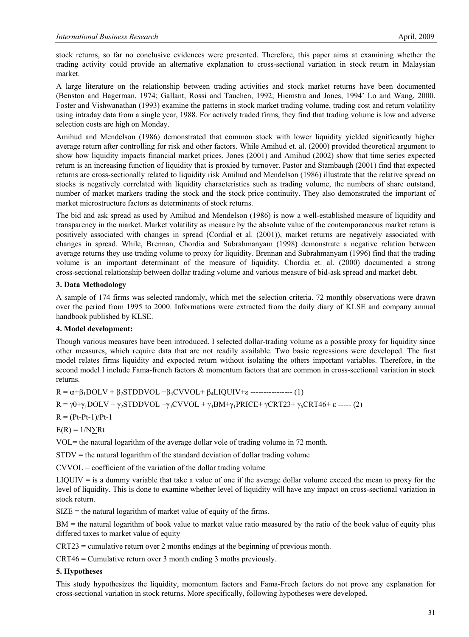stock returns, so far no conclusive evidences were presented. Therefore, this paper aims at examining whether the trading activity could provide an alternative explanation to cross-sectional variation in stock return in Malaysian market.

A large literature on the relationship between trading activities and stock market returns have been documented (Benston and Hagerman, 1974; Gallant, Rossi and Tauchen, 1992; Hiemstra and Jones, 1994' Lo and Wang, 2000. Foster and Vishwanathan (1993) examine the patterns in stock market trading volume, trading cost and return volatility using intraday data from a single year, 1988. For actively traded firms, they find that trading volume is low and adverse selection costs are high on Monday.

Amihud and Mendelson (1986) demonstrated that common stock with lower liquidity yielded significantly higher average return after controlling for risk and other factors. While Amihud et. al. (2000) provided theoretical argument to show how liquidity impacts financial market prices. Jones (2001) and Amihud (2002) show that time series expected return is an increasing function of liquidity that is proxied by turnover. Pastor and Stambaugh (2001) find that expected returns are cross-sectionally related to liquidity risk Amihud and Mendelson (1986) illustrate that the relative spread on stocks is negatively correlated with liquidity characteristics such as trading volume, the numbers of share outstand, number of market markers trading the stock and the stock price continuity. They also demonstrated the important of market microstructure factors as determinants of stock returns.

The bid and ask spread as used by Amihud and Mendelson (1986) is now a well-established measure of liquidity and transparency in the market. Market volatility as measure by the absolute value of the contemporaneous market return is positively associated with changes in spread (Cordial et al. (2001)), market returns are negatively associated with changes in spread. While, Brennan, Chordia and Subrahmanyam (1998) demonstrate a negative relation between average returns they use trading volume to proxy for liquidity. Brennan and Subrahmanyam (1996) find that the trading volume is an important determinant of the measure of liquidity. Chordia et. al. (2000) documented a strong cross-sectional relationship between dollar trading volume and various measure of bid-ask spread and market debt.

## **3. Data Methodology**

A sample of 174 firms was selected randomly, which met the selection criteria. 72 monthly observations were drawn over the period from 1995 to 2000. Informations were extracted from the daily diary of KLSE and company annual handbook published by KLSE.

# **4. Model development:**

Though various measures have been introduced, I selected dollar-trading volume as a possible proxy for liquidity since other measures, which require data that are not readily available. Two basic regressions were developed. The first model relates firms liquidity and expected return without isolating the others important variables. Therefore, in the second model I include Fama-french factors & momentum factors that are common in cross-sectional variation in stock returns.

 $R = \alpha + \beta_1 DOLV + \beta_2 STDDVOL + \beta_3 CVVOL + \beta_4 LIQUIV + \epsilon$  ---------------- (1)

 $R = \gamma 0 + \gamma_1 DOLV + \gamma_2 STDDVOL + \gamma_3 CVVOL + \gamma_4 BM + \gamma_1 PRICE + \gamma CRT23 + \gamma_6 CRT46 + \epsilon$  ----- (2)

 $R = (Pt-Pt-1)/Pt-1$ 

 $E(R) = 1/N\sum Rt$ 

 $VOL =$  the natural logarithm of the average dollar vole of trading volume in 72 month.

 $STDV =$  the natural logarithm of the standard deviation of dollar trading volume

 $CVVOL = coefficient of the variation of the dollar trading volume$ 

LIQUIV = is a dummy variable that take a value of one if the average dollar volume exceed the mean to proxy for the level of liquidity. This is done to examine whether level of liquidity will have any impact on cross-sectional variation in stock return.

 $SIZE =$  the natural logarithm of market value of equity of the firms.

BM = the natural logarithm of book value to market value ratio measured by the ratio of the book value of equity plus differed taxes to market value of equity

CRT23 = cumulative return over 2 months endings at the beginning of previous month.

CRT46 = Cumulative return over 3 month ending 3 moths previously.

#### **5. Hypotheses**

This study hypothesizes the liquidity, momentum factors and Fama-Frech factors do not prove any explanation for cross-sectional variation in stock returns. More specifically, following hypotheses were developed.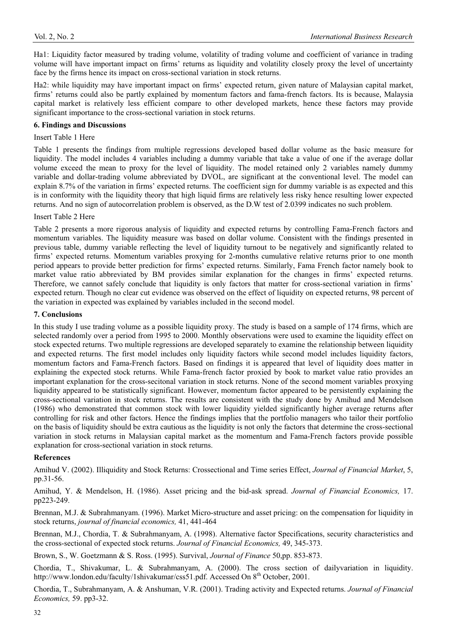Ha1: Liquidity factor measured by trading volume, volatility of trading volume and coefficient of variance in trading volume will have important impact on firms' returns as liquidity and volatility closely proxy the level of uncertainty face by the firms hence its impact on cross-sectional variation in stock returns.

Ha2: while liquidity may have important impact on firms' expected return, given nature of Malaysian capital market, firms' returns could also be partly explained by momentum factors and fama-french factors. Its is because, Malaysia capital market is relatively less efficient compare to other developed markets, hence these factors may provide significant importance to the cross-sectional variation in stock returns.

## **6. Findings and Discussions**

#### Insert Table 1 Here

Table 1 presents the findings from multiple regressions developed based dollar volume as the basic measure for liquidity. The model includes 4 variables including a dummy variable that take a value of one if the average dollar volume exceed the mean to proxy for the level of liquidity. The model retained only 2 variables namely dummy variable and dollar-trading volume abbreviated by DVOL, are significant at the conventional level. The model can explain 8.7% of the variation in firms' expected returns. The coefficient sign for dummy variable is as expected and this is in conformity with the liquidity theory that high liquid firms are relatively less risky hence resulting lower expected returns. And no sign of autocorrelation problem is observed, as the D.W test of 2.0399 indicates no such problem.

#### Insert Table 2 Here

Table 2 presents a more rigorous analysis of liquidity and expected returns by controlling Fama-French factors and momentum variables. The liquidity measure was based on dollar volume. Consistent with the findings presented in previous table, dummy variable reflecting the level of liquidity turnout to be negatively and significantly related to firms' expected returns. Momentum variables proxying for 2-months cumulative relative returns prior to one month period appears to provide better prediction for firms' expected returns. Similarly, Fama French factor namely book to market value ratio abbreviated by BM provides similar explanation for the changes in firms' expected returns. Therefore, we cannot safely conclude that liquidity is only factors that matter for cross-sectional variation in firms' expected return. Though no clear cut evidence was observed on the effect of liquidity on expected returns, 98 percent of the variation in expected was explained by variables included in the second model.

#### **7. Conclusions**

In this study I use trading volume as a possible liquidity proxy. The study is based on a sample of 174 firms, which are selected randomly over a period from 1995 to 2000. Monthly observations were used to examine the liquidity effect on stock expected returns. Two multiple regressions are developed separately to examine the relationship between liquidity and expected returns. The first model includes only liquidity factors while second model includes liquidity factors, momentum factors and Fama-French factors. Based on findings it is appeared that level of liquidity does matter in explaining the expected stock returns. While Fama-french factor proxied by book to market value ratio provides an important explanation for the cross-secitonal variation in stock returns. None of the second moment variables proxying liquidity appeared to be statistically significant. However, momentum factor appeared to be persistently explaining the cross-sectional variation in stock returns. The results are consistent with the study done by Amihud and Mendelson (1986) who demonstrated that common stock with lower liquidity yielded significantly higher average returns after controlling for risk and other factors. Hence the findings implies that the portfolio managers who tailor their portfolio on the basis of liquidity should be extra cautious as the liquidity is not only the factors that determine the cross-sectional variation in stock returns in Malaysian capital market as the momentum and Fama-French factors provide possible explanation for cross-sectional variation in stock returns.

#### **References**

Amihud V. (2002). Illiquidity and Stock Returns: Crossectional and Time series Effect, *Journal of Financial Market*, 5, pp.31-56.

Amihud, Y. & Mendelson, H. (1986). Asset pricing and the bid-ask spread. *Journal of Financial Economics,* 17. pp223-249.

Brennan, M.J. & Subrahmanyam. (1996). Market Micro-structure and asset pricing: on the compensation for liquidity in stock returns, *journal of financial economics,* 41, 441-464

Brennan, M.J., Chordia, T. & Subrahmanyam, A. (1998). Alternative factor Specifications, security characteristics and the cross-sectional of expected stock returns. *Journal of Financial Economics,* 49, 345-373.

Brown, S., W. Goetzmann & S. Ross. (1995). Survival, *Journal of Finance* 50,pp. 853-873.

Chordia, T., Shivakumar, L. & Subrahmanyam, A. (2000). The cross section of dailyvariation in liquidity. http://www.london.edu/faculty/1shivakumar/css51.pdf. Accessed On 8<sup>th</sup> October, 2001.

Chordia, T., Subrahmanyam, A. & Anshuman, V.R. (2001). Trading activity and Expected returns. *Journal of Financial Economics,* 59. pp3-32.